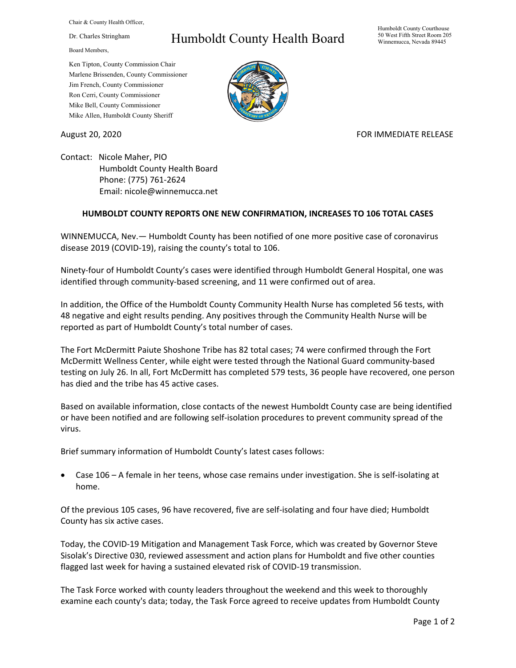Chair & County Health Officer,

Dr. Charles Stringham

Board Members,

## Ken Tipton, County Commission Chair Marlene Brissenden, County Commissioner Jim French, County Commissioner Ron Cerri, County Commissioner Mike Bell, County Commissioner Mike Allen, Humboldt County Sheriff

## Humboldt County Health Board

Humboldt County Courthouse 50 West Fifth Street Room 205 Winnemucca, Nevada 89445



## August 20, 2020 FOR IMMEDIATE RELEASE

Contact: Nicole Maher, PIO Humboldt County Health Board Phone: (775) 761‐2624 Email: nicole@winnemucca.net

## **HUMBOLDT COUNTY REPORTS ONE NEW CONFIRMATION, INCREASES TO 106 TOTAL CASES**

WINNEMUCCA, Nev.— Humboldt County has been notified of one more positive case of coronavirus disease 2019 (COVID‐19), raising the county's total to 106.

Ninety‐four of Humboldt County's cases were identified through Humboldt General Hospital, one was identified through community‐based screening, and 11 were confirmed out of area.

In addition, the Office of the Humboldt County Community Health Nurse has completed 56 tests, with 48 negative and eight results pending. Any positives through the Community Health Nurse will be reported as part of Humboldt County's total number of cases.

The Fort McDermitt Paiute Shoshone Tribe has 82 total cases; 74 were confirmed through the Fort McDermitt Wellness Center, while eight were tested through the National Guard community‐based testing on July 26. In all, Fort McDermitt has completed 579 tests, 36 people have recovered, one person has died and the tribe has 45 active cases.

Based on available information, close contacts of the newest Humboldt County case are being identified or have been notified and are following self‐isolation procedures to prevent community spread of the virus.

Brief summary information of Humboldt County's latest cases follows:

● Case 106 – A female in her teens, whose case remains under investigation. She is self-isolating at home.

Of the previous 105 cases, 96 have recovered, five are self‐isolating and four have died; Humboldt County has six active cases.

Today, the COVID‐19 Mitigation and Management Task Force, which was created by Governor Steve Sisolak's Directive 030, reviewed assessment and action plans for Humboldt and five other counties flagged last week for having a sustained elevated risk of COVID-19 transmission.

The Task Force worked with county leaders throughout the weekend and this week to thoroughly examine each county's data; today, the Task Force agreed to receive updates from Humboldt County